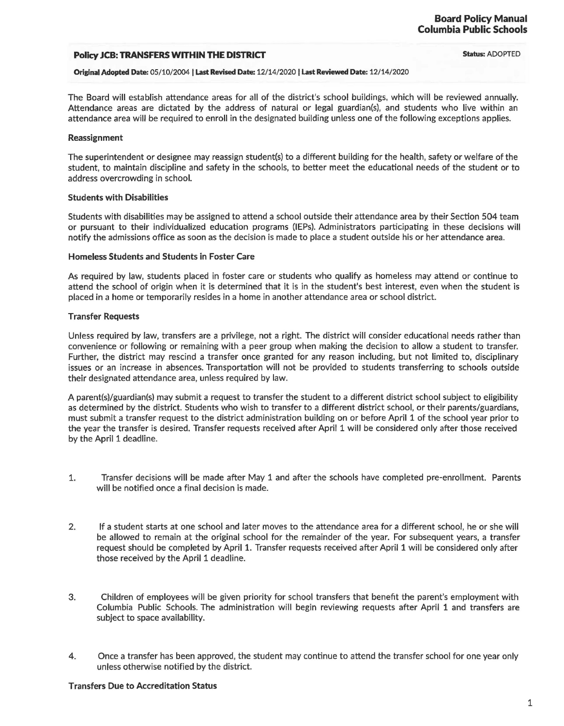# **Policy JCB: TRANSFERS WITHIN THE DISTRICT**

**Status:** ADOPTED

**Original Adopted Date:** 05/10/2004 I **Last Revised Date:** 12/14/2020 I **Last Reviewed Date:** 12/14/2020

The Board will establish attendance areas for all of the district's school buildings, which will be reviewed annually. Attendance areas are dictated by the address of natural or legal guardian(s), and students who live within an attendance area will be required to enroll in the designated building unless one of the following exceptions applies.

## **Reassignment**

The superintendent or designee may reassign student(s) to a different building for the health, safety or welfare of the student, to maintain discipline and safety in the schools, to better meet the educational needs of the student or to address overcrowding in school.

#### **Students with Disabilities**

Students with disabilities may be assigned to attend a school outside their attendance area by their Section 504 team or pursuant to their individualized education programs (IEPs). Administrators participating in these decisions will notify the admissions office as soon as the decision is made to place a student outside his or her attendance area.

#### **Homeless Students and Students in Foster Care**

As required by law, students placed in foster care or students who qualify as homeless may attend or continue to attend the school of origin when it is determined that it is in the student's best interest, even when the student is placed in a home or temporarily resides in a home in another attendance area or school district.

# **Transfer Requests**

Unless required by law, transfers are a privilege, not a right. The district will consider educational needs rather than convenience or following or remaining with a peer group when making the decision to allow a student to transfer. Further, the district may rescind a transfer once granted for any reason including, but not limited to, disciplinary issues or an increase in absences. Transportation will not be provided to students transferring to schools outside their designated attendance area, unless required by law.

A parent(s)/guardian(s) may submit a request to transfer the student to a different district school subject to eligibility as determined by the district. Students who wish to transfer to a different district school, or their parents/guardians, must submit a transfer request to the district administration building on or before April 1 of the school year prior to the year the transfer is desired. Transfer requests received after April 1 will be considered only after those received by the April 1 deadline.

- 1. Transfer decisions will be made after May 1 and after the schools have completed pre-enrollment. Parents will be notified once a final decision is made.
- 2. If a student starts at one school and later moves to the attendance area for a different school, he or she will be allowed to remain at the original school for the remainder of the year. For subsequent years, a transfer request should be completed by April 1. Transfer requests received after April 1 will be considered only after those received by the April 1 deadline.
- 3. Children of employees will be given priority for school transfers that benefit the parent's employment with Columbia Public Schools. The administration will begin reviewing requests after April 1 and transfers are subject to space availability.
- 4. Once a transfer has been approved, the student may continue to attend the transfer school for one year only unless otherwise notified by the district.